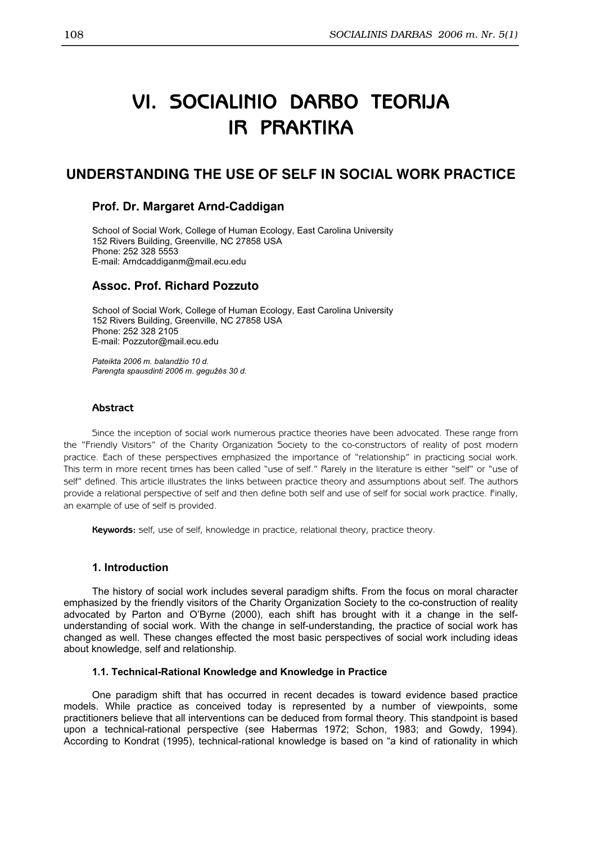# VI. SOCIALINIO DARBO TEORIJA IR PRAKTIKA

# UNDERSTANDING THE USE OF SELF IN SOCIAL WORK PRACTICE

# Prof. Dr. Margaret Arnd-Caddigan

School of Social Work, College of Human Ecology, East Carolina University 152 Rivers Building, Greenville, NC 27858 USA Phone: 252 328 5553 E-mail: Arndcaddiganm@mail.ecu.edu

# Assoc. Prof. Richard Pozzuto

School of Social Work, College of Human Ecology, East Carolina University 152 Rivers Building, Greenville, NC 27858 USA Phone: 252 328 2105 E-mail: Pozzutor@mail.ecu.edu

Pateikta 2006 m. balandžio 10 d. Parengta spausdinti 2006 m. gegužės 30 d.

## **Abstract**

Since the inception of social work numerous practice theories have been advocated. These range from the "Friendly Visitors" of the Charity Organization Society to the co-constructors of reality of post modern practice. Each of these perspectives emphasized the importance of "relationship" in practicing social work. This term in more recent times has been called "use of self." Rarely in the literature is either "self" or "use of self" defined. This article illustrates the links between practice theory and assumptions about self. The authors provide a relational perspective of self and then define both self and use of self for social work practice. Finally, an example of use of self is provided.

Keywords: self, use of self, knowledge in practice, relational theory, practice theory.

## 1. Introduction

The history of social work includes several paradigm shifts. From the focus on moral character emphasized by the friendly visitors of the Charity Organization Society to the co-construction of reality advocated by Parton and O'Byrne (2000), each shift has brought with it a change in the selfunderstanding of social work. With the change in self-understanding, the practice of social work has changed as well. These changes effected the most basic perspectives of social work including ideas about knowledge, self and relationship.

#### 1.1. Technical-Rational Knowledge and Knowledge in Practice

One paradigm shift that has occurred in recent decades is toward evidence based practice models. While practice as conceived today is represented by a number of viewpoints, some practitioners believe that all interventions can be deduced from formal theory. This standpoint is based upon a technical-rational perspective (see Habermas 1972; Schon, 1983; and Gowdy, 1994). According to Kondrat (1995), technical-rational knowledge is based on "a kind of rationality in which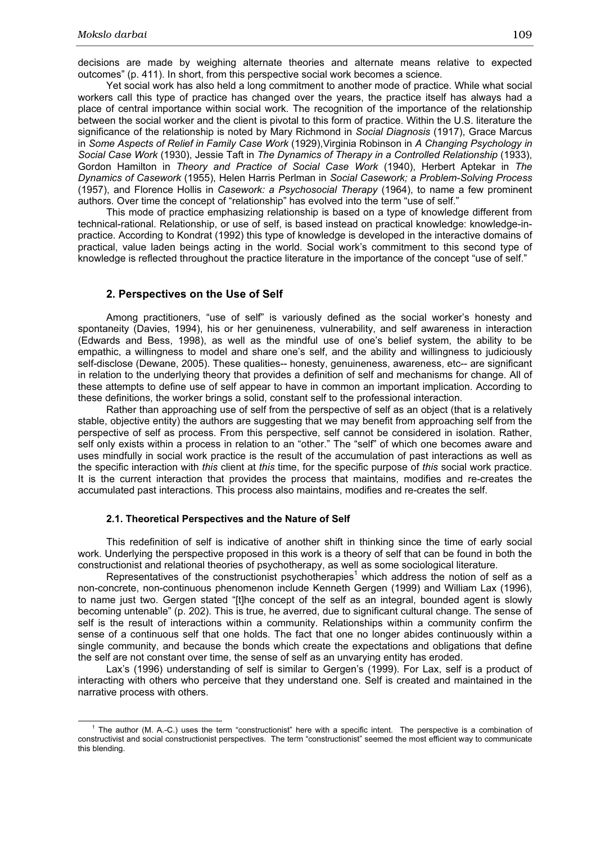decisions are made by weighing alternate theories and alternate means relative to expected outcomes" (p. 411). In short, from this perspective social work becomes a science.

Yet social work has also held a long commitment to another mode of practice. While what social workers call this type of practice has changed over the years, the practice itself has always had a place of central importance within social work. The recognition of the importance of the relationship between the social worker and the client is pivotal to this form of practice. Within the U.S. literature the significance of the relationship is noted by Mary Richmond in Social Diagnosis (1917), Grace Marcus in Some Aspects of Relief in Family Case Work (1929),Virginia Robinson in A Changing Psychology in Social Case Work (1930), Jessie Taft in The Dynamics of Therapy in a Controlled Relationship (1933), Gordon Hamilton in Theory and Practice of Social Case Work (1940), Herbert Aptekar in The Dynamics of Casework (1955), Helen Harris Perlman in Social Casework; a Problem-Solving Process (1957), and Florence Hollis in Casework: a Psychosocial Therapy (1964), to name a few prominent authors. Over time the concept of "relationship" has evolved into the term "use of self."

This mode of practice emphasizing relationship is based on a type of knowledge different from technical-rational. Relationship, or use of self, is based instead on practical knowledge: knowledge-inpractice. According to Kondrat (1992) this type of knowledge is developed in the interactive domains of practical, value laden beings acting in the world. Social work's commitment to this second type of knowledge is reflected throughout the practice literature in the importance of the concept "use of self."

#### 2. Perspectives on the Use of Self

Among practitioners, "use of self" is variously defined as the social worker's honesty and spontaneity (Davies, 1994), his or her genuineness, vulnerability, and self awareness in interaction (Edwards and Bess, 1998), as well as the mindful use of one's belief system, the ability to be empathic, a willingness to model and share one's self, and the ability and willingness to judiciously self-disclose (Dewane, 2005). These qualities-- honesty, genuineness, awareness, etc-- are significant in relation to the underlying theory that provides a definition of self and mechanisms for change. All of these attempts to define use of self appear to have in common an important implication. According to these definitions, the worker brings a solid, constant self to the professional interaction.

Rather than approaching use of self from the perspective of self as an object (that is a relatively stable, objective entity) the authors are suggesting that we may benefit from approaching self from the perspective of self as process. From this perspective, self cannot be considered in isolation. Rather, self only exists within a process in relation to an "other." The "self" of which one becomes aware and uses mindfully in social work practice is the result of the accumulation of past interactions as well as the specific interaction with this client at this time, for the specific purpose of this social work practice. It is the current interaction that provides the process that maintains, modifies and re-creates the accumulated past interactions. This process also maintains, modifies and re-creates the self.

#### 2.1. Theoretical Perspectives and the Nature of Self

This redefinition of self is indicative of another shift in thinking since the time of early social work. Underlying the perspective proposed in this work is a theory of self that can be found in both the constructionist and relational theories of psychotherapy, as well as some sociological literature.

Representatives of the constructionist psychotherapies*<sup>1</sup>* which address the notion of self as a non-concrete, non-continuous phenomenon include Kenneth Gergen (1999) and William Lax (1996), to name just two. Gergen stated "[t]he concept of the self as an integral, bounded agent is slowly becoming untenable" (p. 202). This is true, he averred, due to significant cultural change. The sense of self is the result of interactions within a community. Relationships within a community confirm the sense of a continuous self that one holds. The fact that one no longer abides continuously within a single community, and because the bonds which create the expectations and obligations that define the self are not constant over time, the sense of self as an unvarying entity has eroded.

Lax's (1996) understanding of self is similar to Gergen's (1999). For Lax, self is a product of interacting with others who perceive that they understand one. Self is created and maintained in the narrative process with others.

<sup>&</sup>lt;sup>1</sup> The author (M. A.-C.) uses the term "constructionist" here with a specific intent. The perspective is a combination of constructivist and social constructionist perspectives. The term "constructionist" seemed the most efficient way to communicate this blending.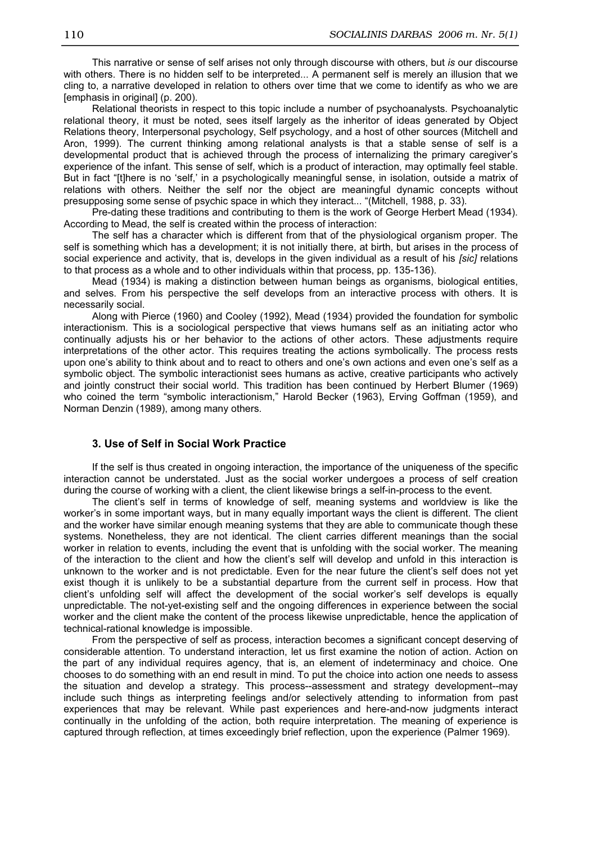This narrative or sense of self arises not only through discourse with others, but is our discourse with others. There is no hidden self to be interpreted... A permanent self is merely an illusion that we cling to, a narrative developed in relation to others over time that we come to identify as who we are [emphasis in original] (p. 200).

Relational theorists in respect to this topic include a number of psychoanalysts. Psychoanalytic relational theory, it must be noted, sees itself largely as the inheritor of ideas generated by Object Relations theory, Interpersonal psychology, Self psychology, and a host of other sources (Mitchell and Aron, 1999). The current thinking among relational analysts is that a stable sense of self is a developmental product that is achieved through the process of internalizing the primary caregiver's experience of the infant. This sense of self, which is a product of interaction, may optimally feel stable. But in fact "[t]here is no 'self,' in a psychologically meaningful sense, in isolation, outside a matrix of relations with others. Neither the self nor the object are meaningful dynamic concepts without presupposing some sense of psychic space in which they interact... "(Mitchell, 1988, p. 33).

Pre-dating these traditions and contributing to them is the work of George Herbert Mead (1934). According to Mead, the self is created within the process of interaction:

The self has a character which is different from that of the physiological organism proper. The self is something which has a development; it is not initially there, at birth, but arises in the process of social experience and activity, that is, develops in the given individual as a result of his [sic] relations to that process as a whole and to other individuals within that process, pp. 135-136).

Mead (1934) is making a distinction between human beings as organisms, biological entities, and selves. From his perspective the self develops from an interactive process with others. It is necessarily social.

Along with Pierce (1960) and Cooley (1992), Mead (1934) provided the foundation for symbolic interactionism. This is a sociological perspective that views humans self as an initiating actor who continually adjusts his or her behavior to the actions of other actors. These adjustments require interpretations of the other actor. This requires treating the actions symbolically. The process rests upon one's ability to think about and to react to others and one's own actions and even one's self as a symbolic object. The symbolic interactionist sees humans as active, creative participants who actively and jointly construct their social world. This tradition has been continued by Herbert Blumer (1969) who coined the term "symbolic interactionism," Harold Becker (1963), Erving Goffman (1959), and Norman Denzin (1989), among many others.

#### 3. Use of Self in Social Work Practice

If the self is thus created in ongoing interaction, the importance of the uniqueness of the specific interaction cannot be understated. Just as the social worker undergoes a process of self creation during the course of working with a client, the client likewise brings a self-in-process to the event.

The client's self in terms of knowledge of self, meaning systems and worldview is like the worker's in some important ways, but in many equally important ways the client is different. The client and the worker have similar enough meaning systems that they are able to communicate though these systems. Nonetheless, they are not identical. The client carries different meanings than the social worker in relation to events, including the event that is unfolding with the social worker. The meaning of the interaction to the client and how the client's self will develop and unfold in this interaction is unknown to the worker and is not predictable. Even for the near future the client's self does not yet exist though it is unlikely to be a substantial departure from the current self in process. How that client's unfolding self will affect the development of the social worker's self develops is equally unpredictable. The not-yet-existing self and the ongoing differences in experience between the social worker and the client make the content of the process likewise unpredictable, hence the application of technical-rational knowledge is impossible.

From the perspective of self as process, interaction becomes a significant concept deserving of considerable attention. To understand interaction, let us first examine the notion of action. Action on the part of any individual requires agency, that is, an element of indeterminacy and choice. One chooses to do something with an end result in mind. To put the choice into action one needs to assess the situation and develop a strategy. This process--assessment and strategy development--may include such things as interpreting feelings and/or selectively attending to information from past experiences that may be relevant. While past experiences and here-and-now judgments interact continually in the unfolding of the action, both require interpretation. The meaning of experience is captured through reflection, at times exceedingly brief reflection, upon the experience (Palmer 1969).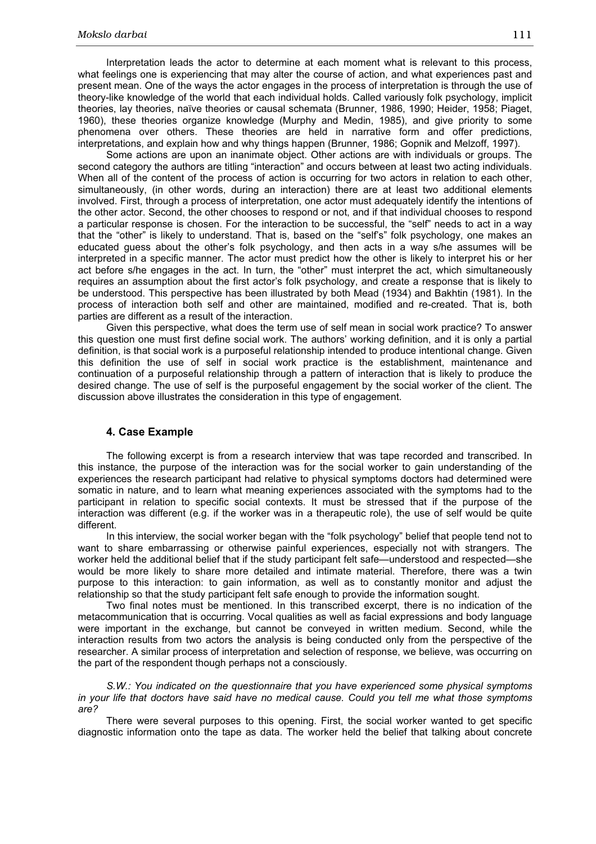Interpretation leads the actor to determine at each moment what is relevant to this process, what feelings one is experiencing that may alter the course of action, and what experiences past and present mean. One of the ways the actor engages in the process of interpretation is through the use of theory-like knowledge of the world that each individual holds. Called variously folk psychology, implicit theories, lay theories, naïve theories or causal schemata (Brunner, 1986, 1990; Heider, 1958; Piaget, 1960), these theories organize knowledge (Murphy and Medin, 1985), and give priority to some phenomena over others. These theories are held in narrative form and offer predictions, interpretations, and explain how and why things happen (Brunner, 1986; Gopnik and Melzoff, 1997).

Some actions are upon an inanimate object. Other actions are with individuals or groups. The second category the authors are titling "interaction" and occurs between at least two acting individuals. When all of the content of the process of action is occurring for two actors in relation to each other, simultaneously, (in other words, during an interaction) there are at least two additional elements involved. First, through a process of interpretation, one actor must adequately identify the intentions of the other actor. Second, the other chooses to respond or not, and if that individual chooses to respond a particular response is chosen. For the interaction to be successful, the "self" needs to act in a way that the "other" is likely to understand. That is, based on the "self's" folk psychology, one makes an educated guess about the other's folk psychology, and then acts in a way s/he assumes will be interpreted in a specific manner. The actor must predict how the other is likely to interpret his or her act before s/he engages in the act. In turn, the "other" must interpret the act, which simultaneously requires an assumption about the first actor's folk psychology, and create a response that is likely to be understood. This perspective has been illustrated by both Mead (1934) and Bakhtin (1981). In the process of interaction both self and other are maintained, modified and re-created. That is, both parties are different as a result of the interaction.

Given this perspective, what does the term use of self mean in social work practice? To answer this question one must first define social work. The authors' working definition, and it is only a partial definition, is that social work is a purposeful relationship intended to produce intentional change. Given this definition the use of self in social work practice is the establishment, maintenance and continuation of a purposeful relationship through a pattern of interaction that is likely to produce the desired change. The use of self is the purposeful engagement by the social worker of the client. The discussion above illustrates the consideration in this type of engagement.

### 4. Case Example

The following excerpt is from a research interview that was tape recorded and transcribed. In this instance, the purpose of the interaction was for the social worker to gain understanding of the experiences the research participant had relative to physical symptoms doctors had determined were somatic in nature, and to learn what meaning experiences associated with the symptoms had to the participant in relation to specific social contexts. It must be stressed that if the purpose of the interaction was different (e.g. if the worker was in a therapeutic role), the use of self would be quite different.

In this interview, the social worker began with the "folk psychology" belief that people tend not to want to share embarrassing or otherwise painful experiences, especially not with strangers. The worker held the additional belief that if the study participant felt safe—understood and respected—she would be more likely to share more detailed and intimate material. Therefore, there was a twin purpose to this interaction: to gain information, as well as to constantly monitor and adjust the relationship so that the study participant felt safe enough to provide the information sought.

Two final notes must be mentioned. In this transcribed excerpt, there is no indication of the metacommunication that is occurring. Vocal qualities as well as facial expressions and body language were important in the exchange, but cannot be conveyed in written medium. Second, while the interaction results from two actors the analysis is being conducted only from the perspective of the researcher. A similar process of interpretation and selection of response, we believe, was occurring on the part of the respondent though perhaps not a consciously.

S.W.: You indicated on the questionnaire that you have experienced some physical symptoms in your life that doctors have said have no medical cause. Could you tell me what those symptoms are?

There were several purposes to this opening. First, the social worker wanted to get specific diagnostic information onto the tape as data. The worker held the belief that talking about concrete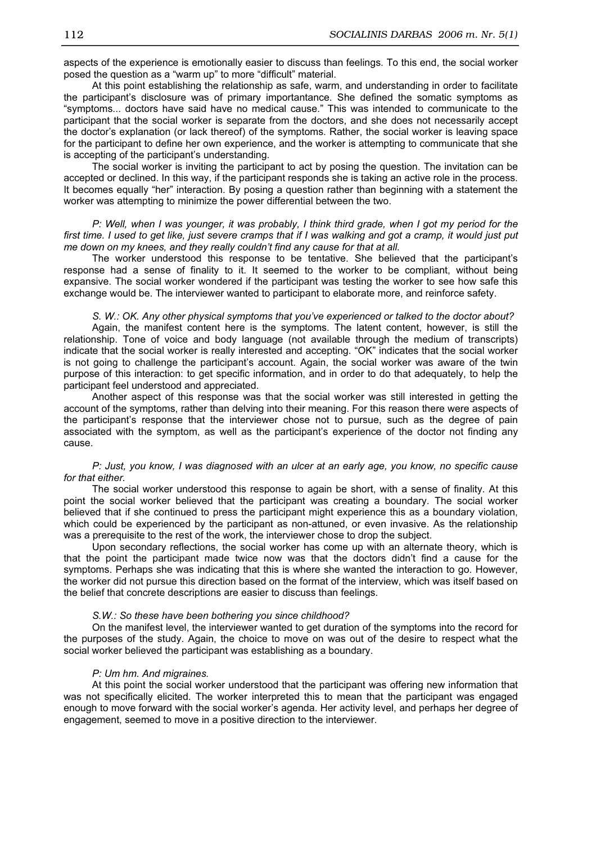aspects of the experience is emotionally easier to discuss than feelings. To this end, the social worker posed the question as a "warm up" to more "difficult" material.

At this point establishing the relationship as safe, warm, and understanding in order to facilitate the participant's disclosure was of primary importantance. She defined the somatic symptoms as "symptoms... doctors have said have no medical cause." This was intended to communicate to the participant that the social worker is separate from the doctors, and she does not necessarily accept the doctor's explanation (or lack thereof) of the symptoms. Rather, the social worker is leaving space for the participant to define her own experience, and the worker is attempting to communicate that she is accepting of the participant's understanding.

The social worker is inviting the participant to act by posing the question. The invitation can be accepted or declined. In this way, if the participant responds she is taking an active role in the process. It becomes equally "her" interaction. By posing a question rather than beginning with a statement the worker was attempting to minimize the power differential between the two.

P: Well, when I was younger, it was probably, I think third grade, when I got my period for the first time. I used to get like, just severe cramps that if I was walking and got a cramp, it would just put me down on my knees, and they really couldn't find any cause for that at all.

The worker understood this response to be tentative. She believed that the participant's response had a sense of finality to it. It seemed to the worker to be compliant, without being expansive. The social worker wondered if the participant was testing the worker to see how safe this exchange would be. The interviewer wanted to participant to elaborate more, and reinforce safety.

S. W.: OK. Any other physical symptoms that you've experienced or talked to the doctor about? Again, the manifest content here is the symptoms. The latent content, however, is still the relationship. Tone of voice and body language (not available through the medium of transcripts) indicate that the social worker is really interested and accepting. "OK" indicates that the social worker is not going to challenge the participant's account. Again, the social worker was aware of the twin purpose of this interaction: to get specific information, and in order to do that adequately, to help the participant feel understood and appreciated.

Another aspect of this response was that the social worker was still interested in getting the account of the symptoms, rather than delving into their meaning. For this reason there were aspects of the participant's response that the interviewer chose not to pursue, such as the degree of pain associated with the symptom, as well as the participant's experience of the doctor not finding any cause.

#### P: Just, you know, I was diagnosed with an ulcer at an early age, you know, no specific cause for that either.

The social worker understood this response to again be short, with a sense of finality. At this point the social worker believed that the participant was creating a boundary. The social worker believed that if she continued to press the participant might experience this as a boundary violation, which could be experienced by the participant as non-attuned, or even invasive. As the relationship was a prerequisite to the rest of the work, the interviewer chose to drop the subject.

Upon secondary reflections, the social worker has come up with an alternate theory, which is that the point the participant made twice now was that the doctors didn't find a cause for the symptoms. Perhaps she was indicating that this is where she wanted the interaction to go. However, the worker did not pursue this direction based on the format of the interview, which was itself based on the belief that concrete descriptions are easier to discuss than feelings.

#### S.W.: So these have been bothering you since childhood?

On the manifest level, the interviewer wanted to get duration of the symptoms into the record for the purposes of the study. Again, the choice to move on was out of the desire to respect what the social worker believed the participant was establishing as a boundary.

#### P: Um hm. And migraines.

At this point the social worker understood that the participant was offering new information that was not specifically elicited. The worker interpreted this to mean that the participant was engaged enough to move forward with the social worker's agenda. Her activity level, and perhaps her degree of engagement, seemed to move in a positive direction to the interviewer.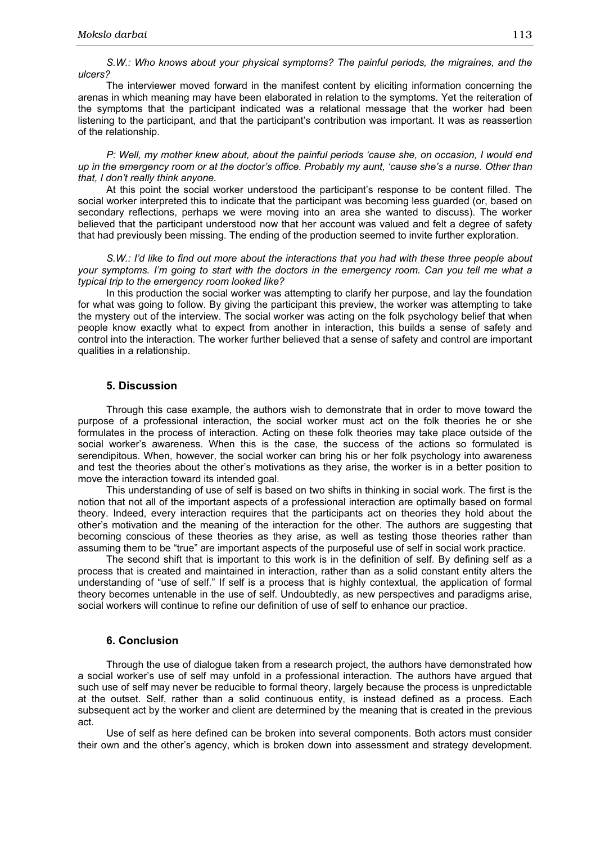S.W.: Who knows about your physical symptoms? The painful periods, the migraines, and the ulcers?

The interviewer moved forward in the manifest content by eliciting information concerning the arenas in which meaning may have been elaborated in relation to the symptoms. Yet the reiteration of the symptoms that the participant indicated was a relational message that the worker had been listening to the participant, and that the participant's contribution was important. It was as reassertion of the relationship.

P: Well, my mother knew about, about the painful periods 'cause she, on occasion, I would end up in the emergency room or at the doctor's office. Probably my aunt, 'cause she's a nurse. Other than that, I don't really think anyone.

At this point the social worker understood the participant's response to be content filled. The social worker interpreted this to indicate that the participant was becoming less guarded (or, based on secondary reflections, perhaps we were moving into an area she wanted to discuss). The worker believed that the participant understood now that her account was valued and felt a degree of safety that had previously been missing. The ending of the production seemed to invite further exploration.

S.W.: I'd like to find out more about the interactions that you had with these three people about your symptoms. I'm going to start with the doctors in the emergency room. Can you tell me what a typical trip to the emergency room looked like?

In this production the social worker was attempting to clarify her purpose, and lay the foundation for what was going to follow. By giving the participant this preview, the worker was attempting to take the mystery out of the interview. The social worker was acting on the folk psychology belief that when people know exactly what to expect from another in interaction, this builds a sense of safety and control into the interaction. The worker further believed that a sense of safety and control are important qualities in a relationship.

#### 5. Discussion

Through this case example, the authors wish to demonstrate that in order to move toward the purpose of a professional interaction, the social worker must act on the folk theories he or she formulates in the process of interaction. Acting on these folk theories may take place outside of the social worker's awareness. When this is the case, the success of the actions so formulated is serendipitous. When, however, the social worker can bring his or her folk psychology into awareness and test the theories about the other's motivations as they arise, the worker is in a better position to move the interaction toward its intended goal.

This understanding of use of self is based on two shifts in thinking in social work. The first is the notion that not all of the important aspects of a professional interaction are optimally based on formal theory. Indeed, every interaction requires that the participants act on theories they hold about the other's motivation and the meaning of the interaction for the other. The authors are suggesting that becoming conscious of these theories as they arise, as well as testing those theories rather than assuming them to be "true" are important aspects of the purposeful use of self in social work practice.

The second shift that is important to this work is in the definition of self. By defining self as a process that is created and maintained in interaction, rather than as a solid constant entity alters the understanding of "use of self." If self is a process that is highly contextual, the application of formal theory becomes untenable in the use of self. Undoubtedly, as new perspectives and paradigms arise, social workers will continue to refine our definition of use of self to enhance our practice.

## 6. Conclusion

Through the use of dialogue taken from a research project, the authors have demonstrated how a social worker's use of self may unfold in a professional interaction. The authors have argued that such use of self may never be reducible to formal theory, largely because the process is unpredictable at the outset. Self, rather than a solid continuous entity, is instead defined as a process. Each subsequent act by the worker and client are determined by the meaning that is created in the previous act.

Use of self as here defined can be broken into several components. Both actors must consider their own and the other's agency, which is broken down into assessment and strategy development.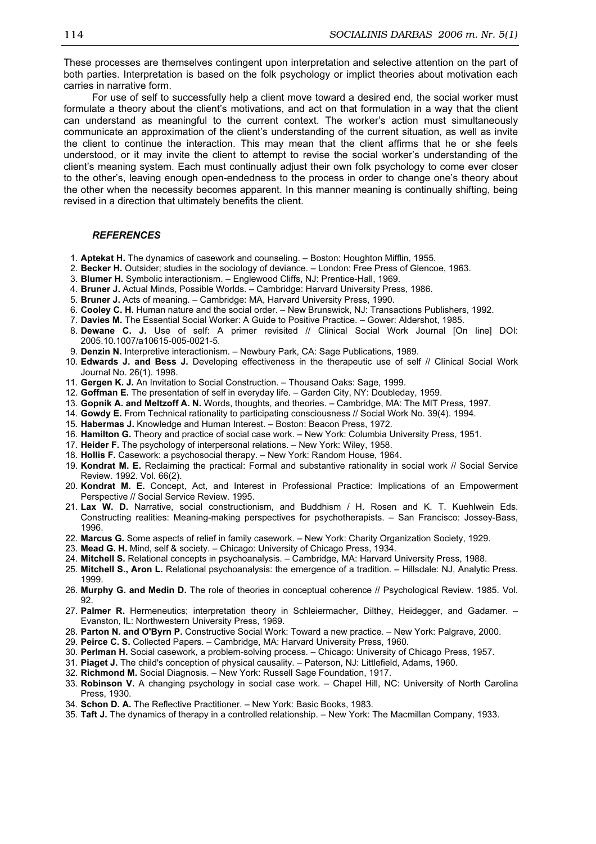These processes are themselves contingent upon interpretation and selective attention on the part of both parties. Interpretation is based on the folk psychology or implict theories about motivation each carries in narrative form.

For use of self to successfully help a client move toward a desired end, the social worker must formulate a theory about the client's motivations, and act on that formulation in a way that the client can understand as meaningful to the current context. The worker's action must simultaneously communicate an approximation of the client's understanding of the current situation, as well as invite the client to continue the interaction. This may mean that the client affirms that he or she feels understood, or it may invite the client to attempt to revise the social worker's understanding of the client's meaning system. Each must continually adjust their own folk psychology to come ever closer to the other's, leaving enough open-endedness to the process in order to change one's theory about the other when the necessity becomes apparent. In this manner meaning is continually shifting, being revised in a direction that ultimately benefits the client.

#### **REFERENCES**

- 1. Aptekat H. The dynamics of casework and counseling. Boston: Houghton Mifflin, 1955.
- 2. Becker H. Outsider; studies in the sociology of deviance. London: Free Press of Glencoe, 1963.
- 3. Blumer H. Symbolic interactionism. Englewood Cliffs, NJ: Prentice-Hall, 1969.
- 4. Bruner J. Actual Minds, Possible Worlds. Cambridge: Harvard University Press, 1986.
- 5. Bruner J. Acts of meaning. Cambridge: MA, Harvard University Press, 1990.
- 6. Cooley C. H. Human nature and the social order. New Brunswick, NJ: Transactions Publishers, 1992.
- 7. Davies M. The Essential Social Worker: A Guide to Positive Practice. Gower: Aldershot, 1985.
- 8. Dewane C. J. Use of self: A primer revisited // Clinical Social Work Journal [On line] DOI: 2005.10.1007/a10615-005-0021-5.
- 9. Denzin N. Interpretive interactionism. Newbury Park, CA: Sage Publications, 1989.
- 10. Edwards J. and Bess J. Developing effectiveness in the therapeutic use of self // Clinical Social Work Journal No. 26(1). 1998.
- 11. Gergen K. J. An Invitation to Social Construction. Thousand Oaks: Sage, 1999.
- 12. Goffman E. The presentation of self in everyday life. Garden City, NY: Doubleday, 1959.
- 13. Gopnik A. and Meltzoff A. N. Words, thoughts, and theories. Cambridge, MA: The MIT Press, 1997.
- 14. Gowdy E. From Technical rationality to participating consciousness // Social Work No. 39(4). 1994.
- 15. Habermas J. Knowledge and Human Interest. Boston: Beacon Press, 1972.
- 16. Hamilton G. Theory and practice of social case work. New York: Columbia University Press, 1951.
- 17. Heider F. The psychology of interpersonal relations. New York: Wiley, 1958.
- 18. Hollis F. Casework: a psychosocial therapy. New York: Random House, 1964.
- 19. Kondrat M. E. Reclaiming the practical: Formal and substantive rationality in social work // Social Service Review. 1992. Vol. 66(2).
- 20. Kondrat M. E. Concept, Act, and Interest in Professional Practice: Implications of an Empowerment Perspective // Social Service Review. 1995.
- 21. Lax W. D. Narrative, social constructionism, and Buddhism / H. Rosen and K. T. Kuehlwein Eds. Constructing realities: Meaning-making perspectives for psychotherapists. – San Francisco: Jossey-Bass, 1996.
- 22. Marcus G. Some aspects of relief in family casework. New York: Charity Organization Society, 1929.
- 23. Mead G. H. Mind, self & society. Chicago: University of Chicago Press, 1934.
- 24. Mitchell S. Relational concepts in psychoanalysis. Cambridge, MA: Harvard University Press, 1988.
- 25. Mitchell S., Aron L. Relational psychoanalysis: the emergence of a tradition. Hillsdale: NJ, Analytic Press. 1999.
- 26. Murphy G. and Medin D. The role of theories in conceptual coherence // Psychological Review. 1985. Vol. 92.
- 27. Palmer R. Hermeneutics; interpretation theory in Schleiermacher, Dilthey, Heidegger, and Gadamer. -Evanston, IL: Northwestern University Press, 1969.
- 28. Parton N. and O'Byrn P. Constructive Social Work: Toward a new practice. New York: Palgrave, 2000.
- 29. Peirce C. S. Collected Papers. Cambridge, MA: Harvard University Press, 1960.
- 30. Perlman H. Social casework, a problem-solving process. Chicago: University of Chicago Press, 1957.
- 31. Piaget J. The child's conception of physical causality. Paterson, NJ: Littlefield, Adams, 1960.
- 32. Richmond M. Social Diagnosis. New York: Russell Sage Foundation, 1917.
- 33. Robinson V. A changing psychology in social case work. Chapel Hill, NC: University of North Carolina Press, 1930.
- 34. Schon D. A. The Reflective Practitioner. New York: Basic Books, 1983.
- 35. Taft J. The dynamics of therapy in a controlled relationship. New York: The Macmillan Company, 1933.